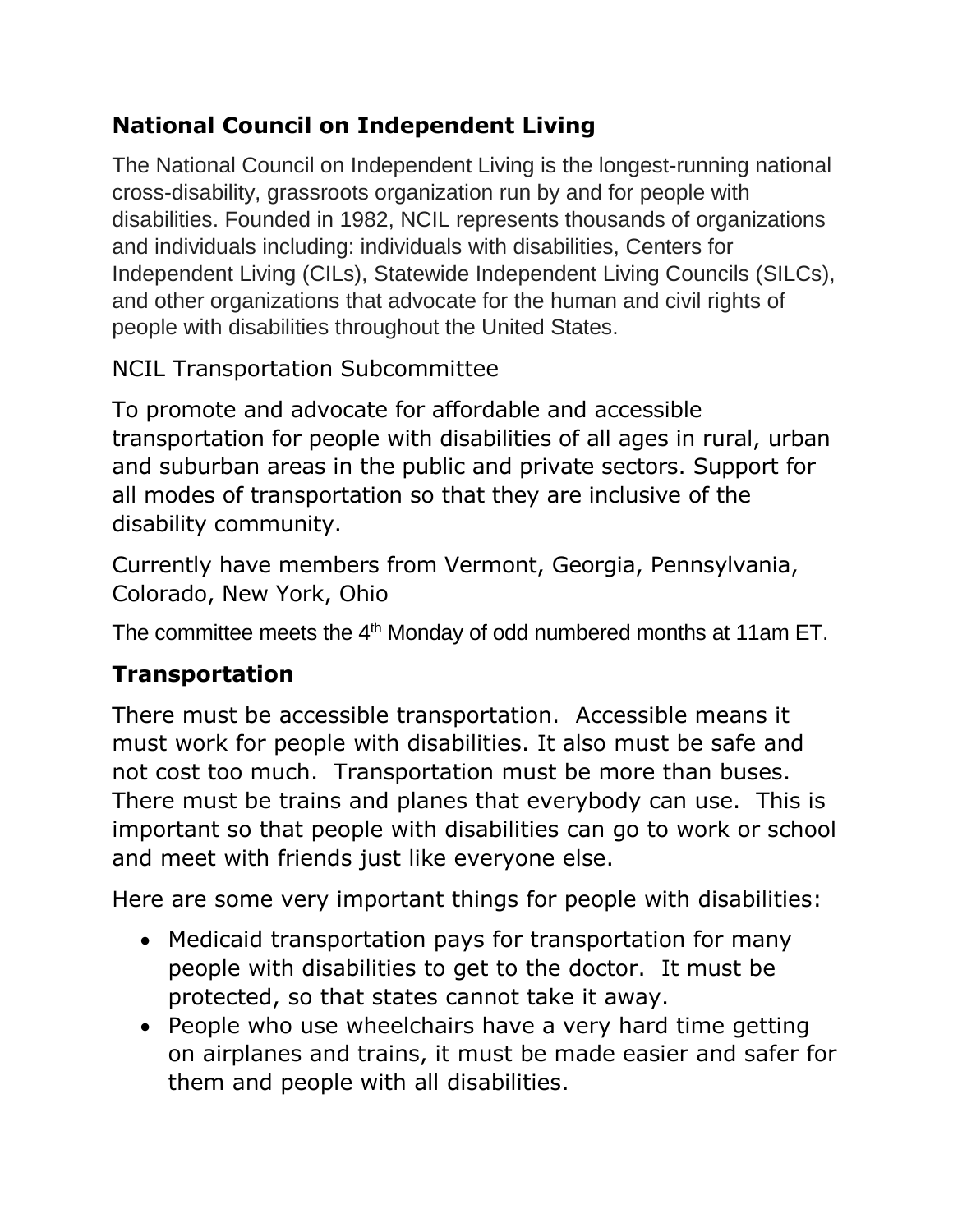# **National Council on Independent Living**

The National Council on Independent Living is the longest-running national cross-disability, grassroots organization run by and for people with disabilities. Founded in 1982, NCIL represents thousands of organizations and individuals including: individuals with disabilities, Centers for Independent Living (CILs), Statewide Independent Living Councils (SILCs), and other organizations that advocate for the human and civil rights of people with disabilities throughout the United States.

## NCIL Transportation Subcommittee

To promote and advocate for affordable and accessible transportation for people with disabilities of all ages in rural, urban and suburban areas in the public and private sectors. Support for all modes of transportation so that they are inclusive of the disability community.

Currently have members from Vermont, Georgia, Pennsylvania, Colorado, New York, Ohio

The committee meets the 4<sup>th</sup> Monday of odd numbered months at 11am ET.

## **Transportation**

There must be accessible transportation. Accessible means it must work for people with disabilities. It also must be safe and not cost too much. Transportation must be more than buses. There must be trains and planes that everybody can use. This is important so that people with disabilities can go to work or school and meet with friends just like everyone else.

Here are some very important things for people with disabilities:

- Medicaid transportation pays for transportation for many people with disabilities to get to the doctor. It must be protected, so that states cannot take it away.
- People who use wheelchairs have a very hard time getting on airplanes and trains, it must be made easier and safer for them and people with all disabilities.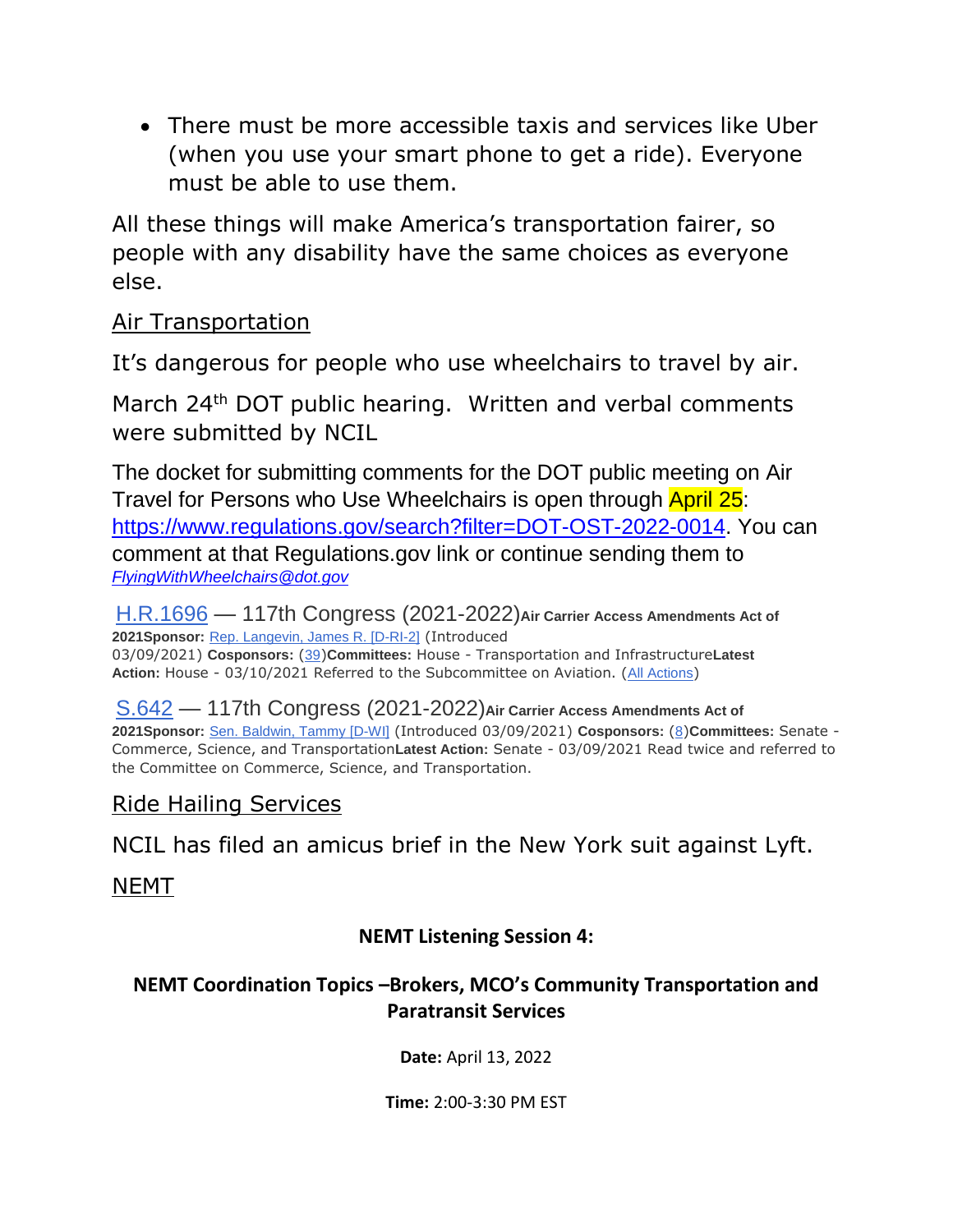There must be more accessible taxis and services like Uber (when you use your smart phone to get a ride). Everyone must be able to use them.

All these things will make America's transportation fairer, so people with any disability have the same choices as everyone else.

#### Air Transportation

It's dangerous for people who use wheelchairs to travel by air.

March 24<sup>th</sup> DOT public hearing. Written and verbal comments were submitted by NCIL

The docket for submitting comments for the DOT public meeting on Air Travel for Persons who Use Wheelchairs is open through April 25: [https://www.regulations.gov/search?filter=DOT-OST-2022-0014.](https://www.regulations.gov/search?filter=DOT-OST-2022-0014) You can comment at that Regulations.gov link or continue sending them to *[FlyingWithWheelchairs@dot.gov](mailto:FlyingWithWheelchairs@dot.gov)*

[H.R.1696](https://www.congress.gov/bill/117th-congress/house-bill/1696?q=%7B%22search%22%3A%5B%22Air+Carrier+Amendments+Act%22%2C%22Air%22%2C%22Carrier%22%2C%22Amendments%22%2C%22Act%22%5D%7D&s=1&r=1) — 117th Congress (2021-2022)**Air Carrier Access Amendments Act of 2021Sponsor:** [Rep. Langevin, James R. \[D-RI-2\]](https://www.congress.gov/member/james-langevin/L000559?q=%7B%22search%22%3A%5B%22Air+Carrier+Amendments+Act%22%2C%22Air%22%2C%22Carrier%22%2C%22Amendments%22%2C%22Act%22%5D%7D) (Introduced 03/09/2021) **Cosponsors:** ([39](https://www.congress.gov/bill/117th-congress/house-bill/1696/cosponsors?q=%7B%22search%22%3A%5B%22Air+Carrier+Amendments+Act%22%2C%22Air%22%2C%22Carrier%22%2C%22Amendments%22%2C%22Act%22%5D%7D&s=1&r=1&overview=closed#tabs))**Committees:** House - Transportation and Infrastructure**Latest Action:** House - 03/10/2021 Referred to the Subcommittee on Aviation. ([All Actions](https://www.congress.gov/bill/117th-congress/house-bill/1696/all-actions?q=%7B%22search%22%3A%5B%22Air+Carrier+Amendments+Act%22%2C%22Air%22%2C%22Carrier%22%2C%22Amendments%22%2C%22Act%22%5D%7D&s=1&r=1&overview=closed#tabs))

[S.642](https://www.congress.gov/bill/117th-congress/senate-bill/642?q=%7B%22search%22%3A%5B%22Air+Carrier+Amendments+Act%22%2C%22Air%22%2C%22Carrier%22%2C%22Amendments%22%2C%22Act%22%5D%7D&s=1&r=2) — 117th Congress (2021-2022)**Air Carrier Access Amendments Act of 2021Sponsor:** [Sen. Baldwin, Tammy](https://www.congress.gov/member/tammy-baldwin/B001230?q=%7B%22search%22%3A%5B%22Air+Carrier+Amendments+Act%22%2C%22Air%22%2C%22Carrier%22%2C%22Amendments%22%2C%22Act%22%5D%7D) [D-WI] (Introduced 03/09/2021) **Cosponsors:** ([8](https://www.congress.gov/bill/117th-congress/senate-bill/642/cosponsors?q=%7B%22search%22%3A%5B%22Air+Carrier+Amendments+Act%22%2C%22Air%22%2C%22Carrier%22%2C%22Amendments%22%2C%22Act%22%5D%7D&s=1&r=2&overview=closed#tabs))**Committees:** Senate - Commerce, Science, and Transportation**Latest Action:** Senate - 03/09/2021 Read twice and referred to the Committee on Commerce, Science, and Transportation.

### Ride Hailing Services

NCIL has filed an amicus brief in the New York suit against Lyft.

#### NEMT

#### **NEMT Listening Session 4:**

#### **NEMT Coordination Topics –Brokers, MCO's Community Transportation and Paratransit Services**

**Date:** April 13, 2022

**Time:** 2:00-3:30 PM EST